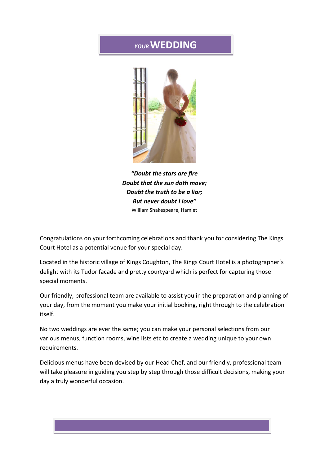## *YOUR***WEDDING**



*"Doubt the stars are fire Doubt that the sun doth move; Doubt the truth to be a liar; But never doubt I love"* William Shakespeare, Hamlet

Congratulations on your forthcoming celebrations and thank you for considering The Kings Court Hotel as a potential venue for your special day.

Located in the historic village of Kings Coughton, The Kings Court Hotel is a photographer's delight with its Tudor facade and pretty courtyard which is perfect for capturing those special moments.

Our friendly, professional team are available to assist you in the preparation and planning of your day, from the moment you make your initial booking, right through to the celebration itself.

No two weddings are ever the same; you can make your personal selections from our various menus, function rooms, wine lists etc to create a wedding unique to your own requirements.

Delicious menus have been devised by our Head Chef, and our friendly, professional team will take pleasure in guiding you step by step through those difficult decisions, making your day a truly wonderful occasion.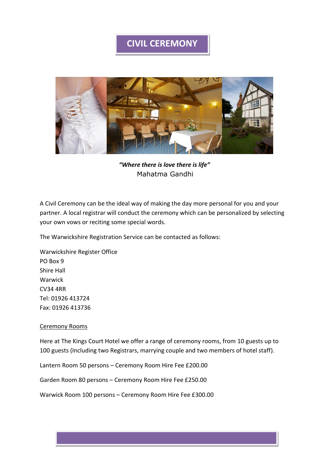## **CIVIL CEREMONY**



*"Where there is love there is life"* Mahatma Gandhi

A Civil Ceremony can be the ideal way of making the day more personal for you and your partner. A local registrar will conduct the ceremony which can be personalized by selecting your own vows or reciting some special words.

The Warwickshire Registration Service can be contacted as follows:

Warwickshire Register Office PO Box 9 Shire Hall Warwick CV34 4RR Tel: 01926 413724 Fax: 01926 413736

## Ceremony Rooms

Here at The Kings Court Hotel we offer a range of ceremony rooms, from 10 guests up to 100 guests (Including two Registrars, marrying couple and two members of hotel staff).

Lantern Room 50 persons – Ceremony Room Hire Fee £200.00

Garden Room 80 persons – Ceremony Room Hire Fee £250.00

Warwick Room 100 persons – Ceremony Room Hire Fee £300.00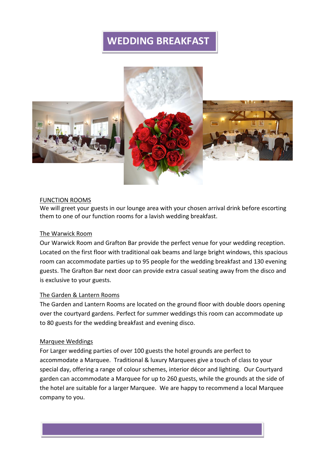# **WEDDING BREAKFAST**



#### FUNCTION ROOMS

We will greet your guests in our lounge area with your chosen arrival drink before escorting them to one of our function rooms for a lavish wedding breakfast.

### The Warwick Room

Our Warwick Room and Grafton Bar provide the perfect venue for your wedding reception. Located on the first floor with traditional oak beams and large bright windows, this spacious room can accommodate parties up to 95 people for the wedding breakfast and 130 evening guests. The Grafton Bar next door can provide extra casual seating away from the disco and is exclusive to your guests.

### The Garden & Lantern Rooms

The Garden and Lantern Rooms are located on the ground floor with double doors opening over the courtyard gardens. Perfect for summer weddings this room can accommodate up to 80 guests for the wedding breakfast and evening disco.

#### Marquee Weddings

For Larger wedding parties of over 100 guests the hotel grounds are perfect to accommodate a Marquee. Traditional & luxury Marquees give a touch of class to your special day, offering a range of colour schemes, interior décor and lighting. Our Courtyard garden can accommodate a Marquee for up to 260 guests, while the grounds at the side of the hotel are suitable for a larger Marquee. We are happy to recommend a local Marquee company to you.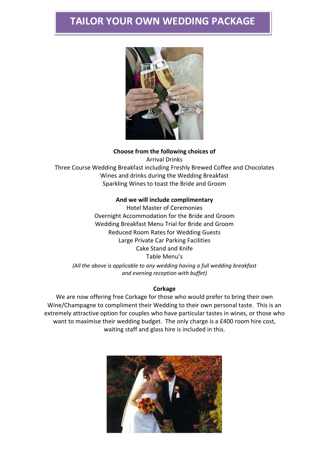# **TAILOR YOUR OWN WEDDING PACKAGE**



**Choose from the following choices of** Arrival Drinks Three Course Wedding Breakfast including Freshly Brewed Coffee and Chocolates Wines and drinks during the Wedding Breakfast Sparkling Wines to toast the Bride and Groom

## **And we will include complimentary**

Hotel Master of Ceremonies Overnight Accommodation for the Bride and Groom Wedding Breakfast Menu Trial for Bride and Groom Reduced Room Rates for Wedding Guests Large Private Car Parking Facilities Cake Stand and Knife Table Menu's *(All the above is applicable to any wedding having a full wedding breakfast and evening reception with buffet)*

#### **Corkage**

We are now offering free Corkage for those who would prefer to bring their own Wine/Champagne to compliment their Wedding to their own personal taste. This is an extremely attractive option for couples who have particular tastes in wines, or those who want to maximise their wedding budget. The only charge is a £400 room hire cost, waiting staff and glass hire is included in this.

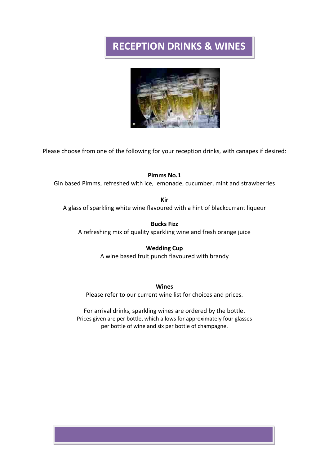# **RECEPTION DRINKS & WINES**



Please choose from one of the following for your reception drinks, with canapes if desired:

## **Pimms No.1**

Gin based Pimms, refreshed with ice, lemonade, cucumber, mint and strawberries

**Kir** A glass of sparkling white wine flavoured with a hint of blackcurrant liqueur

**Bucks Fizz** A refreshing mix of quality sparkling wine and fresh orange juice

## **Wedding Cup**

A wine based fruit punch flavoured with brandy

#### **Wines**

Please refer to our current wine list for choices and prices.

For arrival drinks, sparkling wines are ordered by the bottle. Prices given are per bottle, which allows for approximately four glasses per bottle of wine and six per bottle of champagne.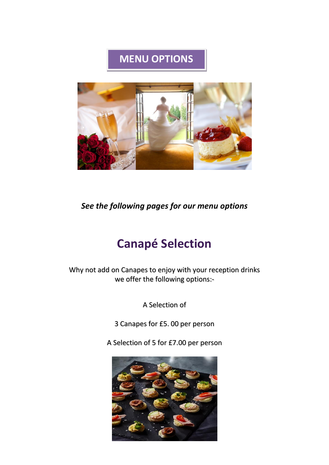# **MENU OPTIONS**



*See the following pages for our menu options*

# **Canapé Selection**

Why not add on Canapes to enjoy with your reception drinks we offer the following options:-

A Selection of

3 Canapes for £5. 00 per person

A Selection of 5 for £7.00 per person

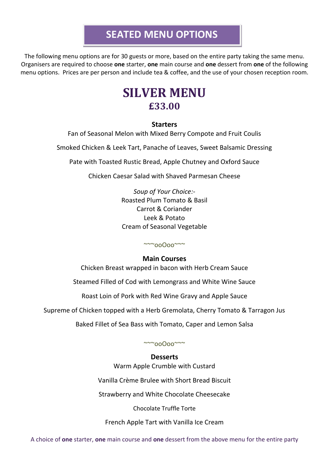# **SEATED MENU OPTIONS**

The following menu options are for 30 guests or more, based on the entire party taking the same menu. Organisers are required to choose **one** starter, **one** main course and **one** dessert from **one** of the following menu options. Prices are per person and include tea & coffee, and the use of your chosen reception room.

# **SILVER MENU £33.00**

## **Starters**

Fan of Seasonal Melon with Mixed Berry Compote and Fruit Coulis

Smoked Chicken & Leek Tart, Panache of Leaves, Sweet Balsamic Dressing

Pate with Toasted Rustic Bread, Apple Chutney and Oxford Sauce

Chicken Caesar Salad with Shaved Parmesan Cheese

*Soup of Your Choice:-* Roasted Plum Tomato & Basil Carrot & Coriander Leek & Potato Cream of Seasonal Vegetable

~~~ooOoo~~~

## **Main Courses**

Chicken Breast wrapped in bacon with Herb Cream Sauce

Steamed Filled of Cod with Lemongrass and White Wine Sauce

Roast Loin of Pork with Red Wine Gravy and Apple Sauce

Supreme of Chicken topped with a Herb Gremolata, Cherry Tomato & Tarragon Jus

Baked Fillet of Sea Bass with Tomato, Caper and Lemon Salsa

~~~ooOoo~~~

## **Desserts**

Warm Apple Crumble with Custard

Vanilla Crème Brulee with Short Bread Biscuit

Strawberry and White Chocolate Cheesecake

Chocolate Truffle Torte

French Apple Tart with Vanilla Ice Cream

A choice of **one** starter, **one** main course and **one** dessert from the above menu for the entire party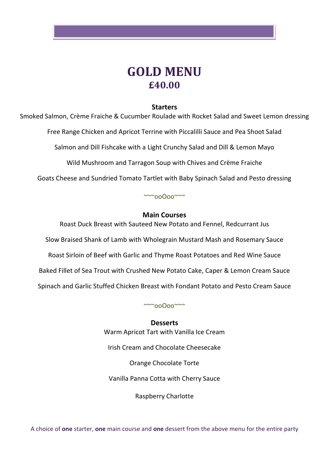

## **Starters**

Smoked Salmon, Crème Fraiche & Cucumber Roulade with Rocket Salad and Sweet Lemon dressing

Free Range Chicken and Apricot Terrine with Piccalilli Sauce and Pea Shoot Salad

Salmon and Dill Fishcake with a Light Crunchy Salad and Dill & Lemon Mayo

Wild Mushroom and Tarragon Soup with Chives and Crème Fraiche

Goats Cheese and Sundried Tomato Tartlet with Baby Spinach Salad and Pesto dressing

## $\sim$ ~ooOoo $\sim$

## **Main Courses**

Roast Duck Breast with Sauteed New Potato and Fennel, Redcurrant Jus Slow Braised Shank of Lamb with Wholegrain Mustard Mash and Rosemary Sauce Roast Sirloin of Beef with Garlic and Thyme Roast Potatoes and Red Wine Sauce Baked Fillet of Sea Trout with Crushed New Potato Cake, Caper & Lemon Cream Sauce Spinach and Garlic Stuffed Chicken Breast with Fondant Potato and Pesto Cream Sauce

~~~ooOoo~~~

**Desserts** Warm Apricot Tart with Vanilla Ice Cream Irish Cream and Chocolate Cheesecake Orange Chocolate Torte Vanilla Panna Cotta with Cherry Sauce Raspberry Charlotte

A choice of **one** starter, **one** main course and **one** dessert from the above menu for the entire party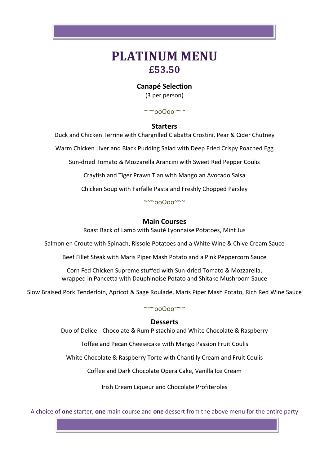# **PLATINUM MENU £53.50**

## **Canapé Selection**

(3 per person)

~~~ooOoo~~~

## **Starters**

Duck and Chicken Terrine with Chargrilled Ciabatta Crostini, Pear & Cider Chutney

Warm Chicken Liver and Black Pudding Salad with Deep Fried Crispy Poached Egg

Sun-dried Tomato & Mozzarella Arancini with Sweet Red Pepper Coulis

Crayfish and Tiger Prawn Tian with Mango an Avocado Salsa

Chicken Soup with Farfalle Pasta and Freshly Chopped Parsley

~~~ooOoo~~~

## **Main Courses**

Roast Rack of Lamb with Sauté Lyonnaise Potatoes, Mint Jus

Salmon en Croute with Spinach, Rissole Potatoes and a White Wine & Chive Cream Sauce

Beef Fillet Steak with Maris Piper Mash Potato and a Pink Peppercorn Sauce

Corn Fed Chicken Supreme stuffed with Sun-dried Tomato & Mozzarella, wrapped in Pancetta with Dauphinoise Potato and Shitake Mushroom Sauce

Slow Braised Pork Tenderloin, Apricot & Sage Roulade, Maris Piper Mash Potato, Rich Red Wine Sauce

~~~ooOoo~~~

## **Desserts**

Duo of Delice:- Chocolate & Rum Pistachio and White Chocolate & Raspberry

Toffee and Pecan Cheesecake with Mango Passion Fruit Coulis

White Chocolate & Raspberry Torte with Chantilly Cream and Fruit Coulis

Coffee and Dark Chocolate Opera Cake, Vanilla Ice Cream

Irish Cream Liqueur and Chocolate Profiteroles

A choice of **one** starter, **one** main course and **one** dessert from the above menu for the entire party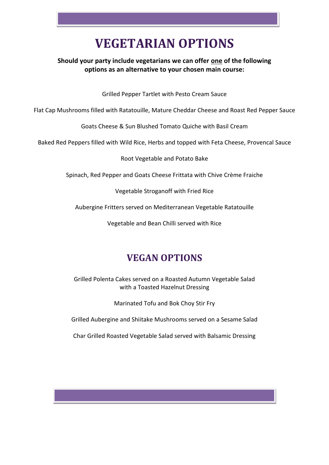# **VEGETARIAN OPTIONS**

## **Should your party include vegetarians we can offer one of the following options as an alternative to your chosen main course:**

Grilled Pepper Tartlet with Pesto Cream Sauce

Flat Cap Mushrooms filled with Ratatouille, Mature Cheddar Cheese and Roast Red Pepper Sauce

Goats Cheese & Sun Blushed Tomato Quiche with Basil Cream

Baked Red Peppers filled with Wild Rice, Herbs and topped with Feta Cheese, Provencal Sauce

Root Vegetable and Potato Bake

Spinach, Red Pepper and Goats Cheese Frittata with Chive Crème Fraiche

Vegetable Stroganoff with Fried Rice

Aubergine Fritters served on Mediterranean Vegetable Ratatouille

Vegetable and Bean Chilli served with Rice

## **VEGAN OPTIONS**

Grilled Polenta Cakes served on a Roasted Autumn Vegetable Salad with a Toasted Hazelnut Dressing

Marinated Tofu and Bok Choy Stir Fry

Grilled Aubergine and Shiitake Mushrooms served on a Sesame Salad

Char Grilled Roasted Vegetable Salad served with Balsamic Dressing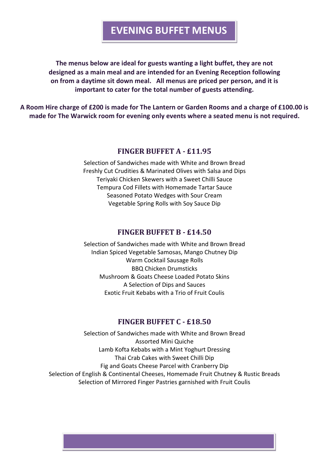# **EVENING BUFFET MENUS**

**The menus below are ideal for guests wanting a light buffet, they are not designed as a main meal and are intended for an Evening Reception following on from a daytime sit down meal. All menus are priced per person, and it is important to cater for the total number of guests attending.**

**A Room Hire charge of £200 is made for The Lantern or Garden Rooms and a charge of £100.00 is made for The Warwick room for evening only events where a seated menu is not required.**

## **FINGER BUFFET A - £11.95**

Selection of Sandwiches made with White and Brown Bread Freshly Cut Crudities & Marinated Olives with Salsa and Dips Teriyaki Chicken Skewers with a Sweet Chilli Sauce Tempura Cod Fillets with Homemade Tartar Sauce Seasoned Potato Wedges with Sour Cream Vegetable Spring Rolls with Soy Sauce Dip

## **FINGER BUFFET B - £14.50**

Selection of Sandwiches made with White and Brown Bread Indian Spiced Vegetable Samosas, Mango Chutney Dip Warm Cocktail Sausage Rolls BBQ Chicken Drumsticks Mushroom & Goats Cheese Loaded Potato Skins A Selection of Dips and Sauces Exotic Fruit Kebabs with a Trio of Fruit Coulis

## **FINGER BUFFET C - £18.50**

Selection of Sandwiches made with White and Brown Bread Assorted Mini Quiche Lamb Kofta Kebabs with a Mint Yoghurt Dressing Thai Crab Cakes with Sweet Chilli Dip Fig and Goats Cheese Parcel with Cranberry Dip Selection of English & Continental Cheeses, Homemade Fruit Chutney & Rustic Breads Selection of Mirrored Finger Pastries garnished with Fruit Coulis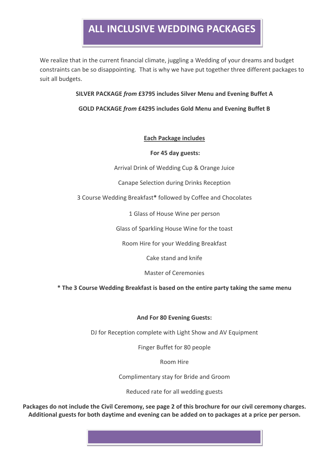# **ALL INCLUSIVE WEDDING PACKAGES**

We realize that in the current financial climate, juggling a Wedding of your dreams and budget constraints can be so disappointing. That is why we have put together three different packages to suit all budgets.

## **SILVER PACKAGE** *from* **£3795 includes Silver Menu and Evening Buffet A**

## **GOLD PACKAGE** *from* **£4295 includes Gold Menu and Evening Buffet B**

## **Each Package includes**

## **For 45 day guests:**

Arrival Drink of Wedding Cup & Orange Juice

Canape Selection during Drinks Reception

3 Course Wedding Breakfast**\*** followed by Coffee and Chocolates

1 Glass of House Wine per person

Glass of Sparkling House Wine for the toast

Room Hire for your Wedding Breakfast

Cake stand and knife

Master of Ceremonies

**\* The 3 Course Wedding Breakfast is based on the entire party taking the same menu**

## **And For 80 Evening Guests:**

DJ for Reception complete with Light Show and AV Equipment

Finger Buffet for 80 people

Room Hire

Complimentary stay for Bride and Groom

Reduced rate for all wedding guests

**Packages do not include the Civil Ceremony, see page 2 of this brochure for our civil ceremony charges. Additional guests for both daytime and evening can be added on to packages at a price per person.**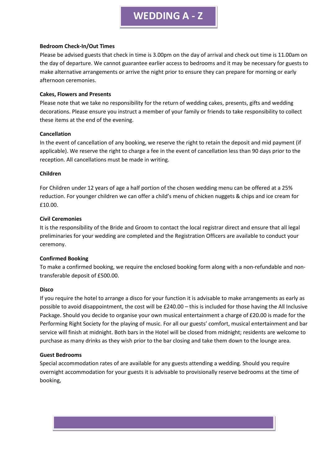#### **Bedroom Check-In/Out Times**

Please be advised guests that check in time is 3.00pm on the day of arrival and check out time is 11.00am on the day of departure. We cannot guarantee earlier access to bedrooms and it may be necessary for guests to make alternative arrangements or arrive the night prior to ensure they can prepare for morning or early afternoon ceremonies.

#### **Cakes, Flowers and Presents**

Please note that we take no responsibility for the return of wedding cakes, presents, gifts and wedding decorations. Please ensure you instruct a member of your family or friends to take responsibility to collect these items at the end of the evening.

### **Cancellation**

In the event of cancellation of any booking, we reserve the right to retain the deposit and mid payment (if applicable). We reserve the right to charge a fee in the event of cancellation less than 90 days prior to the reception. All cancellations must be made in writing.

### **Children**

For Children under 12 years of age a half portion of the chosen wedding menu can be offered at a 25% reduction. For younger children we can offer a child's menu of chicken nuggets & chips and ice cream for £10.00.

### **Civil Ceremonies**

It is the responsibility of the Bride and Groom to contact the local registrar direct and ensure that all legal preliminaries for your wedding are completed and the Registration Officers are available to conduct your ceremony.

## **Confirmed Booking**

To make a confirmed booking, we require the enclosed booking form along with a non-refundable and nontransferable deposit of £500.00.

#### **Disco**

If you require the hotel to arrange a disco for your function it is advisable to make arrangements as early as possible to avoid disappointment, the cost will be £240.00 – this is included for those having the All Inclusive Package. Should you decide to organise your own musical entertainment a charge of £20.00 is made for the Performing Right Society for the playing of music. For all our guests' comfort, musical entertainment and bar service will finish at midnight. Both bars in the Hotel will be closed from midnight; residents are welcome to purchase as many drinks as they wish prior to the bar closing and take them down to the lounge area.

#### **Guest Bedrooms**

Special accommodation rates of are available for any guests attending a wedding. Should you require overnight accommodation for your guests it is advisable to provisionally reserve bedrooms at the time of booking,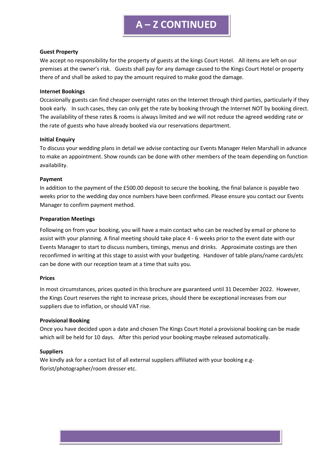# **A – Z CONTINUED**

#### **Guest Property**

We accept no responsibility for the property of guests at the kings Court Hotel. All items are left on our premises at the owner's risk. Guests shall pay for any damage caused to the Kings Court Hotel or property there of and shall be asked to pay the amount required to make good the damage.

#### **Internet Bookings**

Occasionally guests can find cheaper overnight rates on the Internet through third parties, particularly if they book early. In such cases, they can only get the rate by booking through the Internet NOT by booking direct. The availability of these rates & rooms is always limited and we will not reduce the agreed wedding rate or the rate of guests who have already booked via our reservations department.

#### **Initial Enquiry**

To discuss your wedding plans in detail we advise contacting our Events Manager Helen Marshall in advance to make an appointment. Show rounds can be done with other members of the team depending on function availability.

#### **Payment**

In addition to the payment of the £500.00 deposit to secure the booking, the final balance is payable two weeks prior to the wedding day once numbers have been confirmed. Please ensure you contact our Events Manager to confirm payment method.

#### **Preparation Meetings**

Following on from your booking, you will have a main contact who can be reached by email or phone to assist with your planning. A final meeting should take place 4 - 6 weeks prior to the event date with our Events Manager to start to discuss numbers, timings, menus and drinks. Approximate costings are then reconfirmed in writing at this stage to assist with your budgeting. Handover of table plans/name cards/etc can be done with our reception team at a time that suits you.

#### **Prices**

In most circumstances, prices quoted in this brochure are guaranteed until 31 December 2022. However, the Kings Court reserves the right to increase prices, should there be exceptional increases from our suppliers due to inflation, or should VAT rise.

#### **Provisional Booking**

Once you have decided upon a date and chosen The Kings Court Hotel a provisional booking can be made which will be held for 10 days. After this period your booking maybe released automatically.

#### **Suppliers**

We kindly ask for a contact list of all external suppliers affiliated with your booking e.gflorist/photographer/room dresser etc.